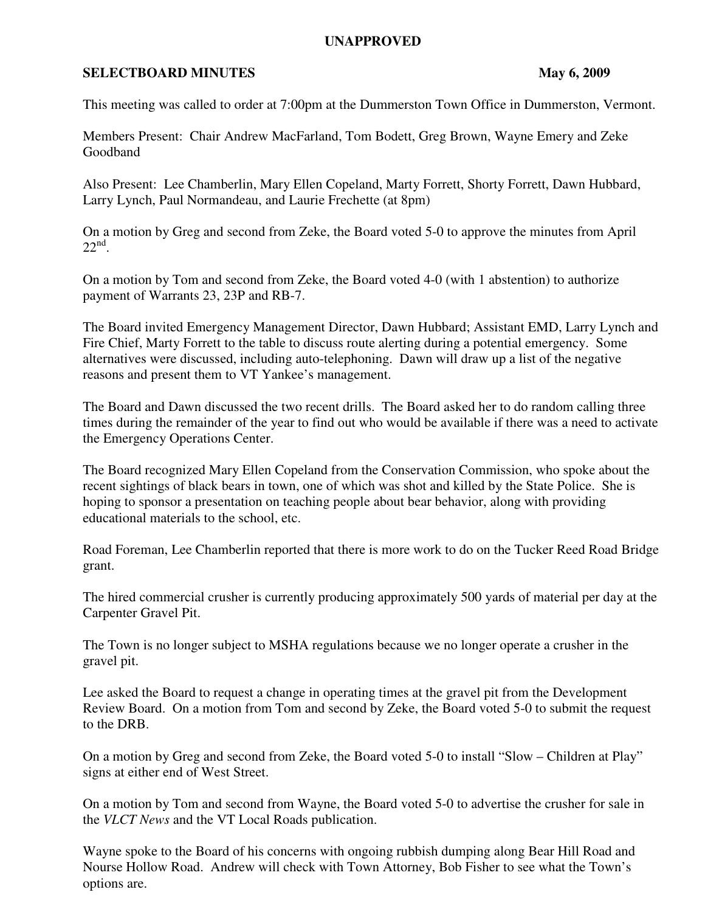## **UNAPPROVED**

## **SELECTBOARD MINUTES** May 6, 2009

This meeting was called to order at 7:00pm at the Dummerston Town Office in Dummerston, Vermont.

Members Present: Chair Andrew MacFarland, Tom Bodett, Greg Brown, Wayne Emery and Zeke Goodband

Also Present: Lee Chamberlin, Mary Ellen Copeland, Marty Forrett, Shorty Forrett, Dawn Hubbard, Larry Lynch, Paul Normandeau, and Laurie Frechette (at 8pm)

On a motion by Greg and second from Zeke, the Board voted 5-0 to approve the minutes from April  $22<sup>nd</sup>$ .

On a motion by Tom and second from Zeke, the Board voted 4-0 (with 1 abstention) to authorize payment of Warrants 23, 23P and RB-7.

The Board invited Emergency Management Director, Dawn Hubbard; Assistant EMD, Larry Lynch and Fire Chief, Marty Forrett to the table to discuss route alerting during a potential emergency. Some alternatives were discussed, including auto-telephoning. Dawn will draw up a list of the negative reasons and present them to VT Yankee's management.

The Board and Dawn discussed the two recent drills. The Board asked her to do random calling three times during the remainder of the year to find out who would be available if there was a need to activate the Emergency Operations Center.

The Board recognized Mary Ellen Copeland from the Conservation Commission, who spoke about the recent sightings of black bears in town, one of which was shot and killed by the State Police. She is hoping to sponsor a presentation on teaching people about bear behavior, along with providing educational materials to the school, etc.

Road Foreman, Lee Chamberlin reported that there is more work to do on the Tucker Reed Road Bridge grant.

The hired commercial crusher is currently producing approximately 500 yards of material per day at the Carpenter Gravel Pit.

The Town is no longer subject to MSHA regulations because we no longer operate a crusher in the gravel pit.

Lee asked the Board to request a change in operating times at the gravel pit from the Development Review Board. On a motion from Tom and second by Zeke, the Board voted 5-0 to submit the request to the DRB.

On a motion by Greg and second from Zeke, the Board voted 5-0 to install "Slow – Children at Play" signs at either end of West Street.

On a motion by Tom and second from Wayne, the Board voted 5-0 to advertise the crusher for sale in the *VLCT News* and the VT Local Roads publication.

Wayne spoke to the Board of his concerns with ongoing rubbish dumping along Bear Hill Road and Nourse Hollow Road. Andrew will check with Town Attorney, Bob Fisher to see what the Town's options are.